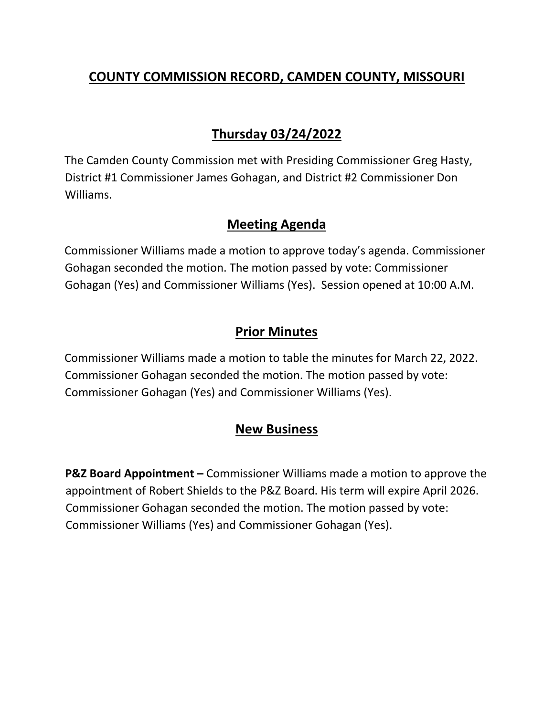### **COUNTY COMMISSION RECORD, CAMDEN COUNTY, MISSOURI**

# **Thursday 03/24/2022**

The Camden County Commission met with Presiding Commissioner Greg Hasty, District #1 Commissioner James Gohagan, and District #2 Commissioner Don Williams.

#### **Meeting Agenda**

Commissioner Williams made a motion to approve today's agenda. Commissioner Gohagan seconded the motion. The motion passed by vote: Commissioner Gohagan (Yes) and Commissioner Williams (Yes). Session opened at 10:00 A.M.

### **Prior Minutes**

Commissioner Williams made a motion to table the minutes for March 22, 2022. Commissioner Gohagan seconded the motion. The motion passed by vote: Commissioner Gohagan (Yes) and Commissioner Williams (Yes).

# **New Business**

**P&Z Board Appointment –** Commissioner Williams made a motion to approve the appointment of Robert Shields to the P&Z Board. His term will expire April 2026. Commissioner Gohagan seconded the motion. The motion passed by vote: Commissioner Williams (Yes) and Commissioner Gohagan (Yes).